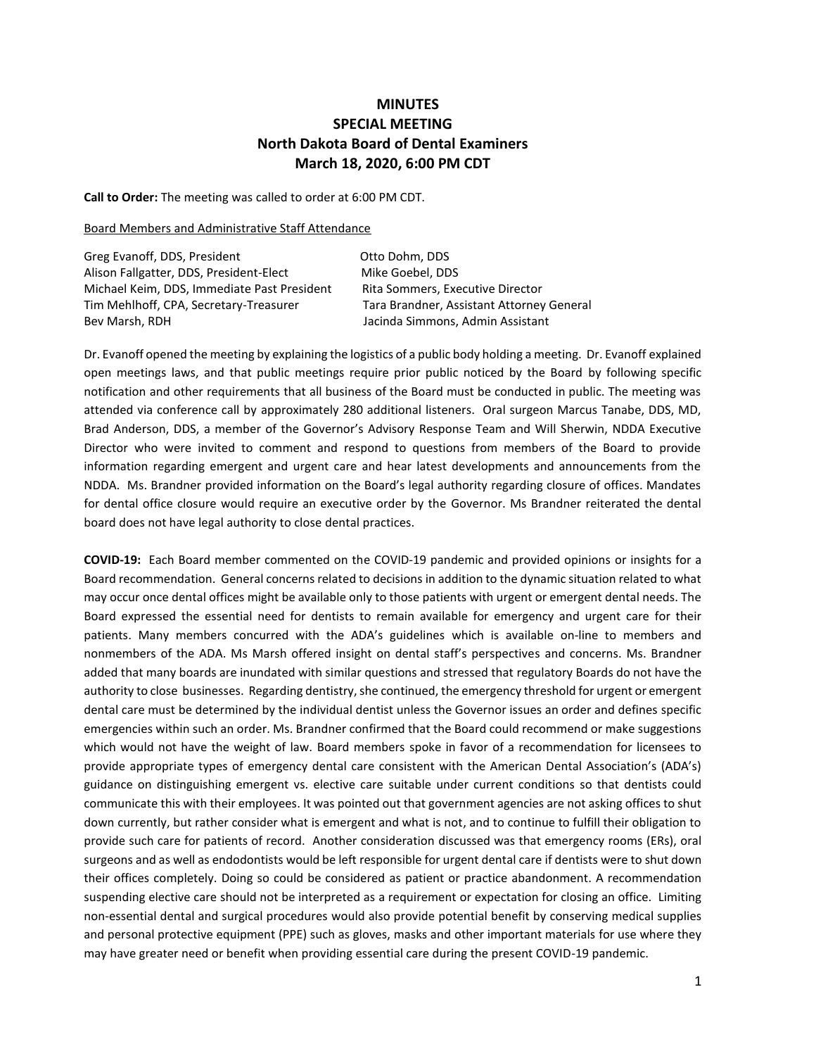## **MINUTES SPECIAL MEETING North Dakota Board of Dental Examiners March 18, 2020, 6:00 PM CDT**

**Call to Order:** The meeting was called to order at 6:00 PM CDT.

## Board Members and Administrative Staff Attendance

Greg Evanoff, DDS, President Case Company Cuto Dohm, DDS Alison Fallgatter, DDS, President-Elect Mike Goebel, DDS Michael Keim, DDS, Immediate Past President Rita Sommers, Executive Director Tim Mehlhoff, CPA, Secretary-Treasurer Tara Brandner, Assistant Attorney General Bev Marsh, RDH Jacinda Simmons, Admin Assistant

Dr. Evanoff opened the meeting by explaining the logistics of a public body holding a meeting. Dr. Evanoff explained open meetings laws, and that public meetings require prior public noticed by the Board by following specific notification and other requirements that all business of the Board must be conducted in public. The meeting was attended via conference call by approximately 280 additional listeners. Oral surgeon Marcus Tanabe, DDS, MD, Brad Anderson, DDS, a member of the Governor's Advisory Response Team and Will Sherwin, NDDA Executive Director who were invited to comment and respond to questions from members of the Board to provide information regarding emergent and urgent care and hear latest developments and announcements from the NDDA. Ms. Brandner provided information on the Board's legal authority regarding closure of offices. Mandates for dental office closure would require an executive order by the Governor. Ms Brandner reiterated the dental board does not have legal authority to close dental practices.

**COVID-19:** Each Board member commented on the COVID-19 pandemic and provided opinions or insights for a Board recommendation. General concerns related to decisions in addition to the dynamic situation related to what may occur once dental offices might be available only to those patients with urgent or emergent dental needs. The Board expressed the essential need for dentists to remain available for emergency and urgent care for their patients. Many members concurred with the ADA's guidelines which is available on-line to members and nonmembers of the ADA. Ms Marsh offered insight on dental staff's perspectives and concerns. Ms. Brandner added that many boards are inundated with similar questions and stressed that regulatory Boards do not have the authority to close businesses. Regarding dentistry, she continued, the emergency threshold for urgent or emergent dental care must be determined by the individual dentist unless the Governor issues an order and defines specific emergencies within such an order. Ms. Brandner confirmed that the Board could recommend or make suggestions which would not have the weight of law. Board members spoke in favor of a recommendation for licensees to provide appropriate types of emergency dental care consistent with the American Dental Association's (ADA's) guidance on distinguishing emergent vs. elective care suitable under current conditions so that dentists could communicate this with their employees. It was pointed out that government agencies are not asking offices to shut down currently, but rather consider what is emergent and what is not, and to continue to fulfill their obligation to provide such care for patients of record. Another consideration discussed was that emergency rooms (ERs), oral surgeons and as well as endodontists would be left responsible for urgent dental care if dentists were to shut down their offices completely. Doing so could be considered as patient or practice abandonment. A recommendation suspending elective care should not be interpreted as a requirement or expectation for closing an office. Limiting non-essential dental and surgical procedures would also provide potential benefit by conserving medical supplies and personal protective equipment (PPE) such as gloves, masks and other important materials for use where they may have greater need or benefit when providing essential care during the present COVID-19 pandemic.